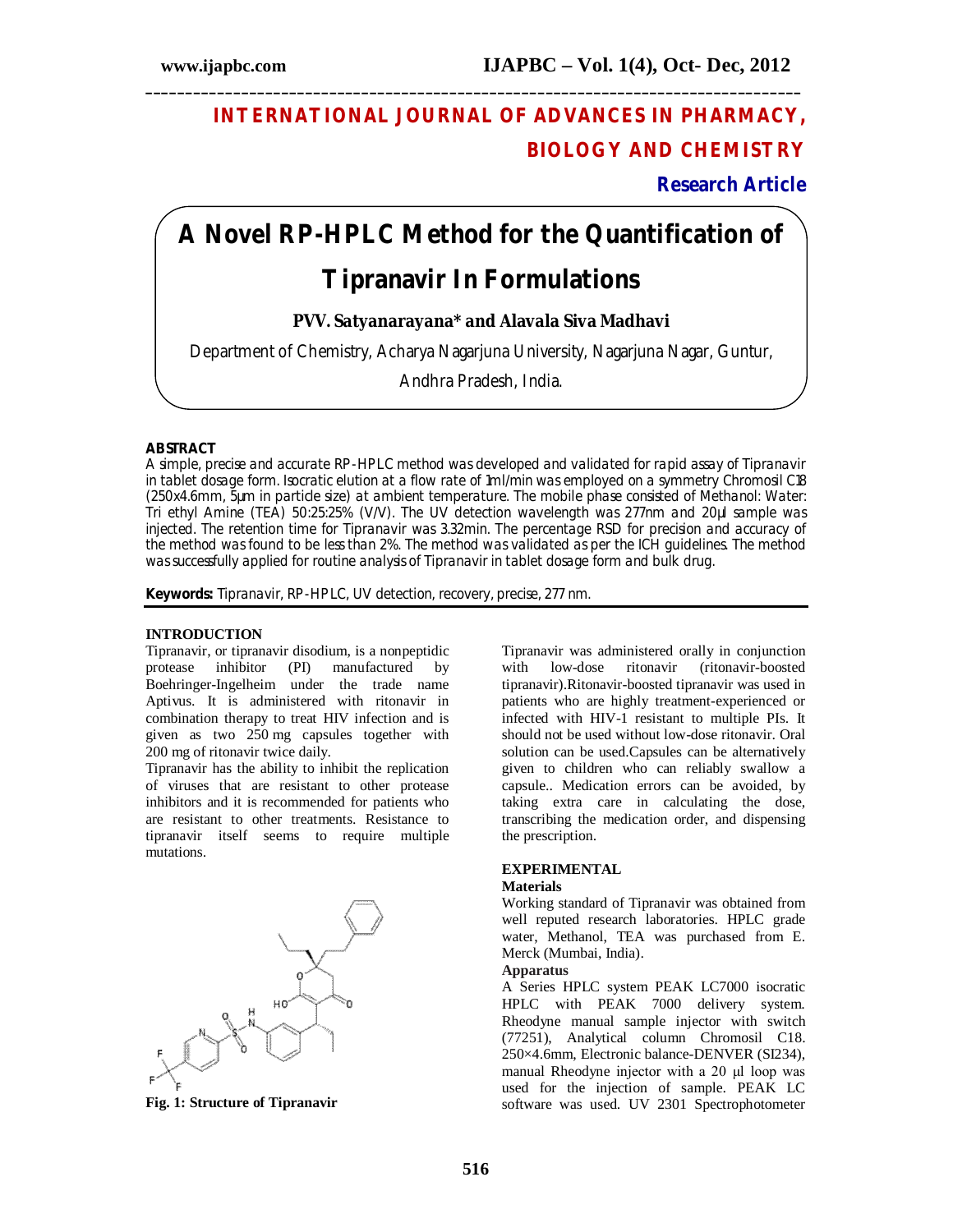# **INTERNATIONAL JOURNAL OF ADVANCES IN PHARMACY, BIOLOGY AND CHEMISTRY**

**Research Article**

# **A Novel RP-HPLC Method for the Quantification of**

**\_\_\_\_\_\_\_\_\_\_\_\_\_\_\_\_\_\_\_\_\_\_\_\_\_\_\_\_\_\_\_\_\_\_\_\_\_\_\_\_\_\_\_\_\_\_\_\_\_\_\_\_\_\_\_\_\_\_\_\_\_\_\_\_\_\_\_\_\_\_\_\_\_\_\_\_\_\_\_\_\_\_**

# **Tipranavir In Formulations**

### **PVV. Satyanarayana\* and Alavala Siva Madhavi**

Department of Chemistry, Acharya Nagarjuna University, Nagarjuna Nagar, Guntur,

Andhra Pradesh, India.

### **ABSTRACT**

A simple, precise and accurate RP-HPLC method was developed and validated for rapid assay of Tipranavir in tablet dosage form. Isocratic elution at a flow rate of 1ml/min was employed on a symmetry Chromosil C18 (250x4.6mm, 5µm in particle size) at ambient temperature. The mobile phase consisted of Methanol: Water: Tri ethyl Amine (TEA) 50:25:25% (V/V). The UV detection wavelength was 277nm and 20µl sample was injected. The retention time for Tipranavir was 3.32min. The percentage RSD for precision and accuracy of the method was found to be less than 2%. The method was validated as per the ICH guidelines. The method was successfully applied for routine analysis of Tipranavir in tablet dosage form and bulk drug.

**Keywords:** Tipranavir, RP-HPLC, UV detection, recovery, precise, 277 nm.

### **INTRODUCTION**

Tipranavir, or tipranavir disodium, is a nonpeptidic protease inhibitor (PI) manufactured by Boehringer-Ingelheim under the trade name Aptivus. It is administered with ritonavir in combination therapy to treat HIV infection and is given as two 250 mg capsules together with 200 mg of ritonavir twice daily.

Tipranavir has the ability to inhibit the replication of viruses that are resistant to other protease inhibitors and it is recommended for patients who are resistant to other treatments. Resistance to tipranavir itself seems to require multiple mutations.



**Fig. 1: Structure of Tipranavir**

Tipranavir was administered orally in conjunction with low-dose ritonavir tipranavir).Ritonavir-boosted tipranavir was used in patients who are highly treatment-experienced or infected with HIV-1 resistant to multiple PIs. It should not be used without low-dose ritonavir. Oral solution can be used.Capsules can be alternatively given to children who can reliably swallow a capsule.. Medication errors can be avoided, by taking extra care in calculating the dose, transcribing the medication order, and dispensing the prescription.

### **EXPERIMENTAL**

### **Materials**

Working standard of Tipranavir was obtained from well reputed research laboratories. HPLC grade water, Methanol, TEA was purchased from E. Merck (Mumbai, India).

### **Apparatus**

A Series HPLC system PEAK LC7000 isocratic HPLC with PEAK 7000 delivery system. Rheodyne manual sample injector with switch (77251), Analytical column Chromosil C18. 250×4.6mm, Electronic balance-DENVER (SI234), manual Rheodyne injector with a 20 μl loop was used for the injection of sample. PEAK LC software was used. UV 2301 Spectrophotometer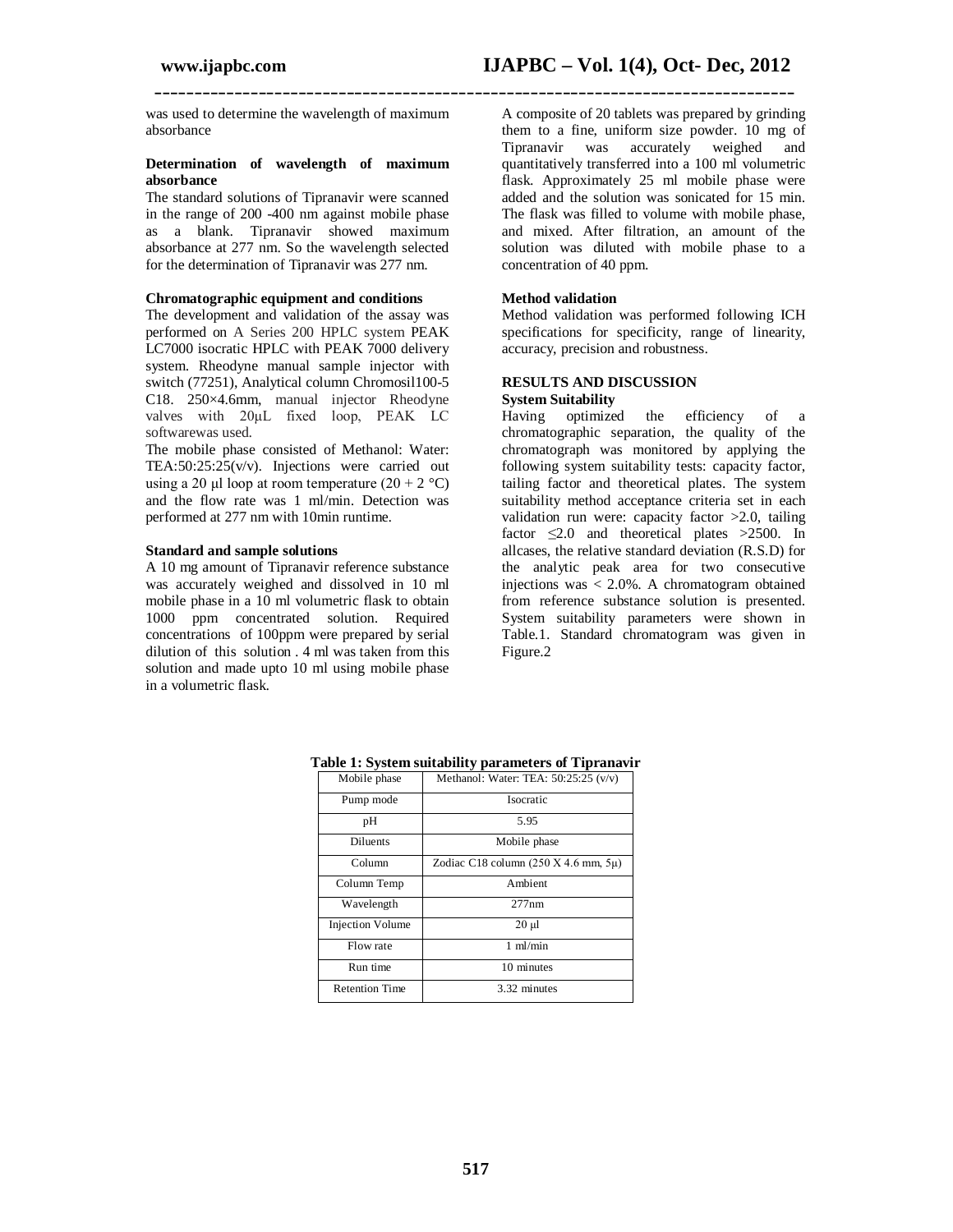was used to determine the wavelength of maximum absorbance

### **Determination of wavelength of maximum absorbance**

The standard solutions of Tipranavir were scanned in the range of 200 -400 nm against mobile phase as a blank. Tipranavir showed maximum absorbance at 277 nm. So the wavelength selected for the determination of Tipranavir was 277 nm.

### **Chromatographic equipment and conditions**

The development and validation of the assay was performed on A Series 200 HPLC system PEAK LC7000 isocratic HPLC with PEAK 7000 delivery system. Rheodyne manual sample injector with switch (77251), Analytical column Chromosil100-5 C18. 250×4.6mm, manual injector Rheodyne valves with 20μL fixed loop, PEAK LC softwarewas used.

The mobile phase consisted of Methanol: Water: TEA:50:25:25(v/v). Injections were carried out using a 20 μl loop at room temperature  $(20 + 2 \degree C)$ and the flow rate was 1 ml/min. Detection was performed at 277 nm with 10min runtime.

### **Standard and sample solutions**

A 10 mg amount of Tipranavir reference substance was accurately weighed and dissolved in 10 ml mobile phase in a 10 ml volumetric flask to obtain 1000 ppm concentrated solution. Required concentrations of 100ppm were prepared by serial dilution of this solution . 4 ml was taken from this solution and made upto 10 ml using mobile phase in a volumetric flask.

A composite of 20 tablets was prepared by grinding them to a fine, uniform size powder. 10 mg of Tipranavir was accurately weighed and quantitatively transferred into a 100 ml volumetric flask. Approximately 25 ml mobile phase were added and the solution was sonicated for 15 min. The flask was filled to volume with mobile phase, and mixed. After filtration, an amount of the solution was diluted with mobile phase to a concentration of 40 ppm.

### **Method validation**

**\_\_\_\_\_\_\_\_\_\_\_\_\_\_\_\_\_\_\_\_\_\_\_\_\_\_\_\_\_\_\_\_\_\_\_\_\_\_\_\_\_\_\_\_\_\_\_\_\_\_\_\_\_\_\_\_\_\_\_\_\_\_\_\_\_\_\_\_\_\_\_\_\_\_\_\_\_\_\_\_**

Method validation was performed following ICH specifications for specificity, range of linearity, accuracy, precision and robustness.

### **RESULTS AND DISCUSSION System Suitability**

Having optimized the efficiency of a chromatographic separation, the quality of the chromatograph was monitored by applying the following system suitability tests: capacity factor, tailing factor and theoretical plates. The system suitability method acceptance criteria set in each validation run were: capacity factor >2.0, tailing factor  $\leq 2.0$  and theoretical plates >2500. In allcases, the relative standard deviation (R.S.D) for the analytic peak area for two consecutive injections was < 2.0%. A chromatogram obtained from reference substance solution is presented. System suitability parameters were shown in Table.1. Standard chromatogram was given in Figure.2

| Mobile phase            | Methanol: Water: TEA: $50:25:25$ (v/v)      |
|-------------------------|---------------------------------------------|
| Pump mode               | Isocratic                                   |
| pH                      | 5.95                                        |
| <b>Diluents</b>         | Mobile phase                                |
| Column                  | Zodiac C18 column $(250 X 4.6$ mm, $5\mu$ ) |
| Column Temp             | Ambient                                     |
| Wavelength              | 277nm                                       |
| <b>Injection Volume</b> | $20 \mu$                                    |
| Flow rate               | $1$ ml/min                                  |
| Run time                | 10 minutes                                  |
| <b>Retention Time</b>   | 3.32 minutes                                |

**Table 1: System suitability parameters of Tipranavir**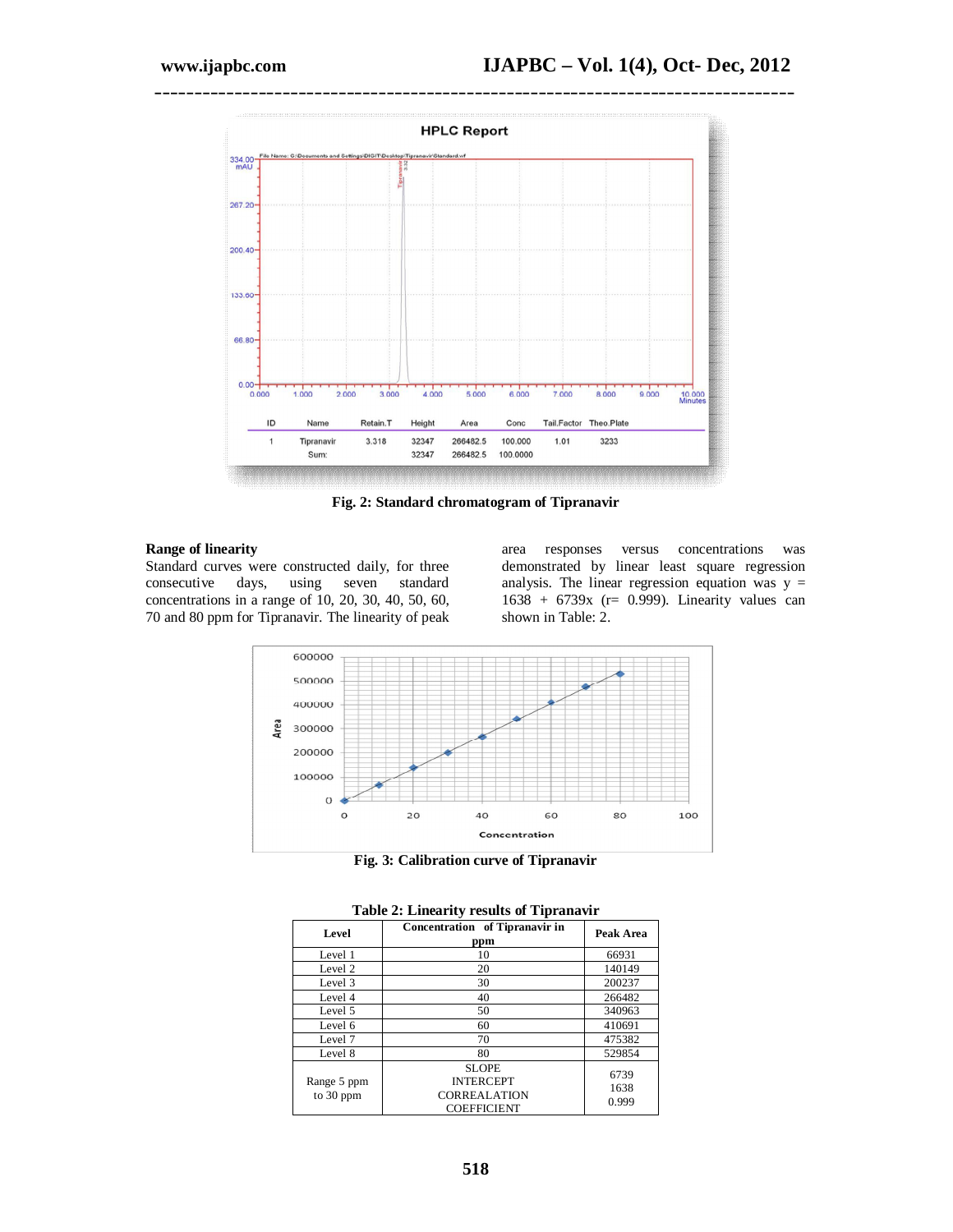

**Fig. 2: Standard chromatogram of Tipranavir**

### **Range of linearity**

Standard curves were constructed daily, for three consecutive days, using seven standard concentrations in a range of 10, 20, 30, 40, 50, 60, 70 and 80 ppm for Tipranavir. The linearity of peak area responses versus concentrations was demonstrated by linear least square regression analysis. The linear regression equation was  $y =$ 1638 + 6739x (r= 0.999). Linearity values can shown in Table: 2.



**Fig. 3: Calibration curve of Tipranavir**

| Level                    | Concentration of Tipranavir in<br>ppm                                         | Peak Area             |  |  |  |
|--------------------------|-------------------------------------------------------------------------------|-----------------------|--|--|--|
| Level 1                  | 10                                                                            | 66931                 |  |  |  |
| Level 2                  | 20                                                                            | 140149                |  |  |  |
| Level 3                  | 30                                                                            | 200237                |  |  |  |
| Level 4                  | 40                                                                            | 266482                |  |  |  |
| Level 5                  | 50                                                                            | 340963                |  |  |  |
| Level 6                  | 60                                                                            | 410691                |  |  |  |
| Level 7                  | 70                                                                            | 475382                |  |  |  |
| Level 8                  | 80                                                                            | 529854                |  |  |  |
| Range 5 ppm<br>to 30 ppm | <b>SLOPE</b><br><b>INTERCEPT</b><br><b>CORREALATION</b><br><b>COEFFICIENT</b> | 6739<br>1638<br>0.999 |  |  |  |

### **Table 2: Linearity results of Tipranavir**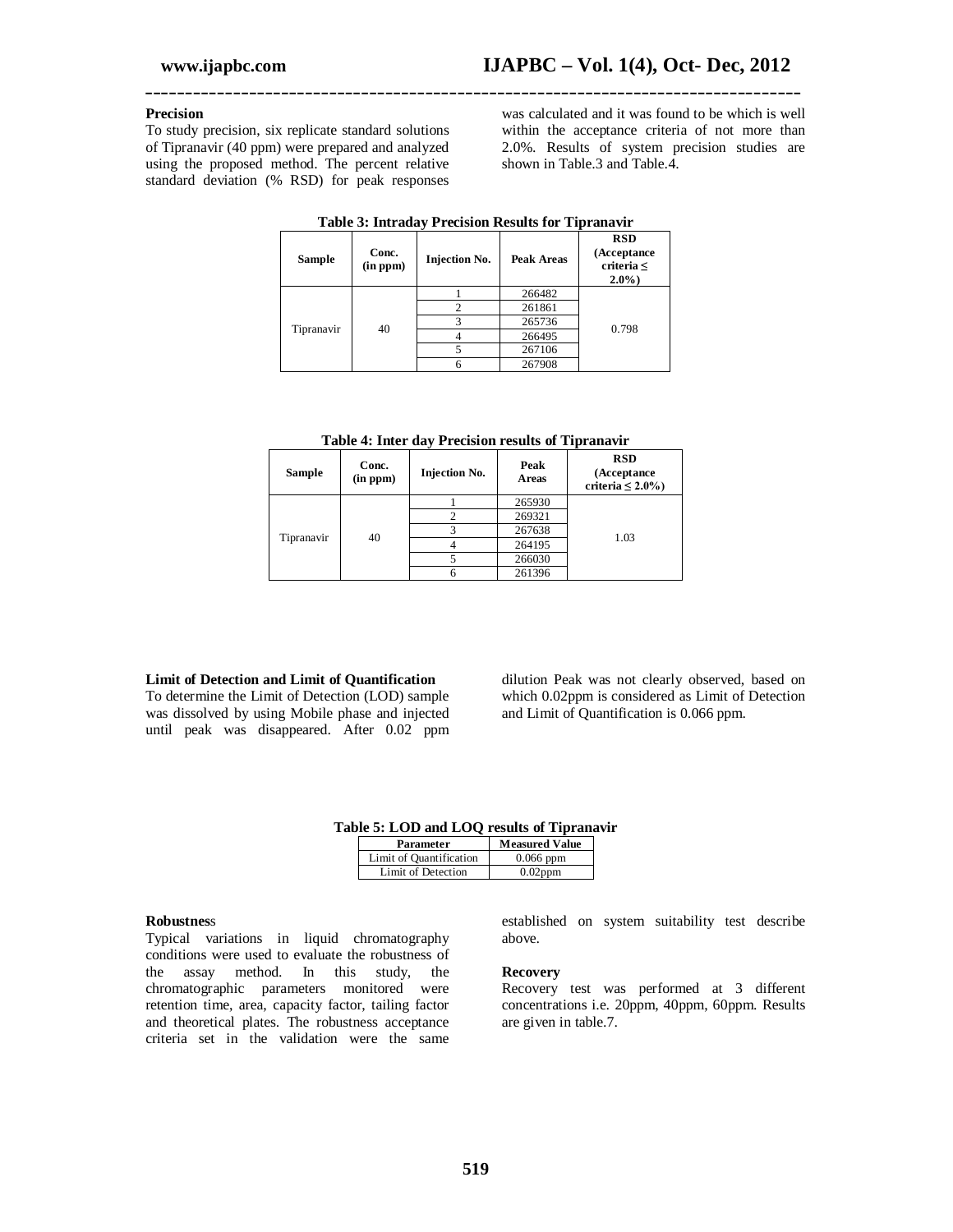### **Precision**

To study precision, six replicate standard solutions of Tipranavir (40 ppm) were prepared and analyzed using the proposed method. The percent relative standard deviation (% RSD) for peak responses

was calculated and it was found to be which is well within the acceptance criteria of not more than 2.0%. Results of system precision studies are shown in Table.3 and Table.4.

| Table 5. Thu aday 1 Feetsfull results full Tiplanavit |                   |                      |                |                                                           |  |
|-------------------------------------------------------|-------------------|----------------------|----------------|-----------------------------------------------------------|--|
| <b>Sample</b>                                         | Conc.<br>(in ppm) | <b>Injection No.</b> | Peak Areas     | <b>RSD</b><br>(Acceptance<br>criteria $\leq$<br>$2.0\%$ ) |  |
|                                                       | 40                |                      | 266482         |                                                           |  |
|                                                       |                   |                      | $\mathfrak{D}$ | 261861                                                    |  |
| Tipranavir                                            |                   | 3                    | 265736         | 0.798                                                     |  |
|                                                       |                   |                      | 266495         |                                                           |  |
|                                                       |                   |                      | 267106         |                                                           |  |
|                                                       |                   | 6                    | 267908         |                                                           |  |

### **Table 3: Intraday Precision Results for Tipranavir**

**\_\_\_\_\_\_\_\_\_\_\_\_\_\_\_\_\_\_\_\_\_\_\_\_\_\_\_\_\_\_\_\_\_\_\_\_\_\_\_\_\_\_\_\_\_\_\_\_\_\_\_\_\_\_\_\_\_\_\_\_\_\_\_\_\_\_\_\_\_\_\_\_\_\_\_\_\_\_\_\_\_\_**

|  |  | Table 4: Inter day Precision results of Tipranavir |
|--|--|----------------------------------------------------|
|  |  |                                                    |

| <b>Sample</b> | Conc.<br>(in ppm) | <b>Injection No.</b> | Peak<br>Areas | <b>RSD</b><br>(Acceptance)<br>criteria $\leq 2.0\%$ ) |  |
|---------------|-------------------|----------------------|---------------|-------------------------------------------------------|--|
| Tipranavir    |                   |                      | 265930        |                                                       |  |
|               |                   |                      | 269321        |                                                       |  |
|               |                   |                      | 267638        | 1.03                                                  |  |
|               |                   | 40                   |               | 264195                                                |  |
|               |                   |                      | 266030        |                                                       |  |
|               |                   |                      | 261396        |                                                       |  |

### **Limit of Detection and Limit of Quantification**

To determine the Limit of Detection (LOD) sample was dissolved by using Mobile phase and injected until peak was disappeared. After 0.02 ppm dilution Peak was not clearly observed, based on which 0.02ppm is considered as Limit of Detection and Limit of Quantification is 0.066 ppm.

### **Table 5: LOD and LOQ results of Tipranavir**

| Parameter               | <b>Measured Value</b> |
|-------------------------|-----------------------|
| Limit of Quantification | $0.066$ ppm           |
| Limit of Detection      | $0.02$ ppm            |

#### **Robustnes**s

Typical variations in liquid chromatography conditions were used to evaluate the robustness of the assay method. In this study, the chromatographic parameters monitored were retention time, area, capacity factor, tailing factor and theoretical plates. The robustness acceptance criteria set in the validation were the same

established on system suitability test describe above.

#### **Recovery**

Recovery test was performed at 3 different concentrations i.e. 20ppm, 40ppm, 60ppm. Results are given in table.7.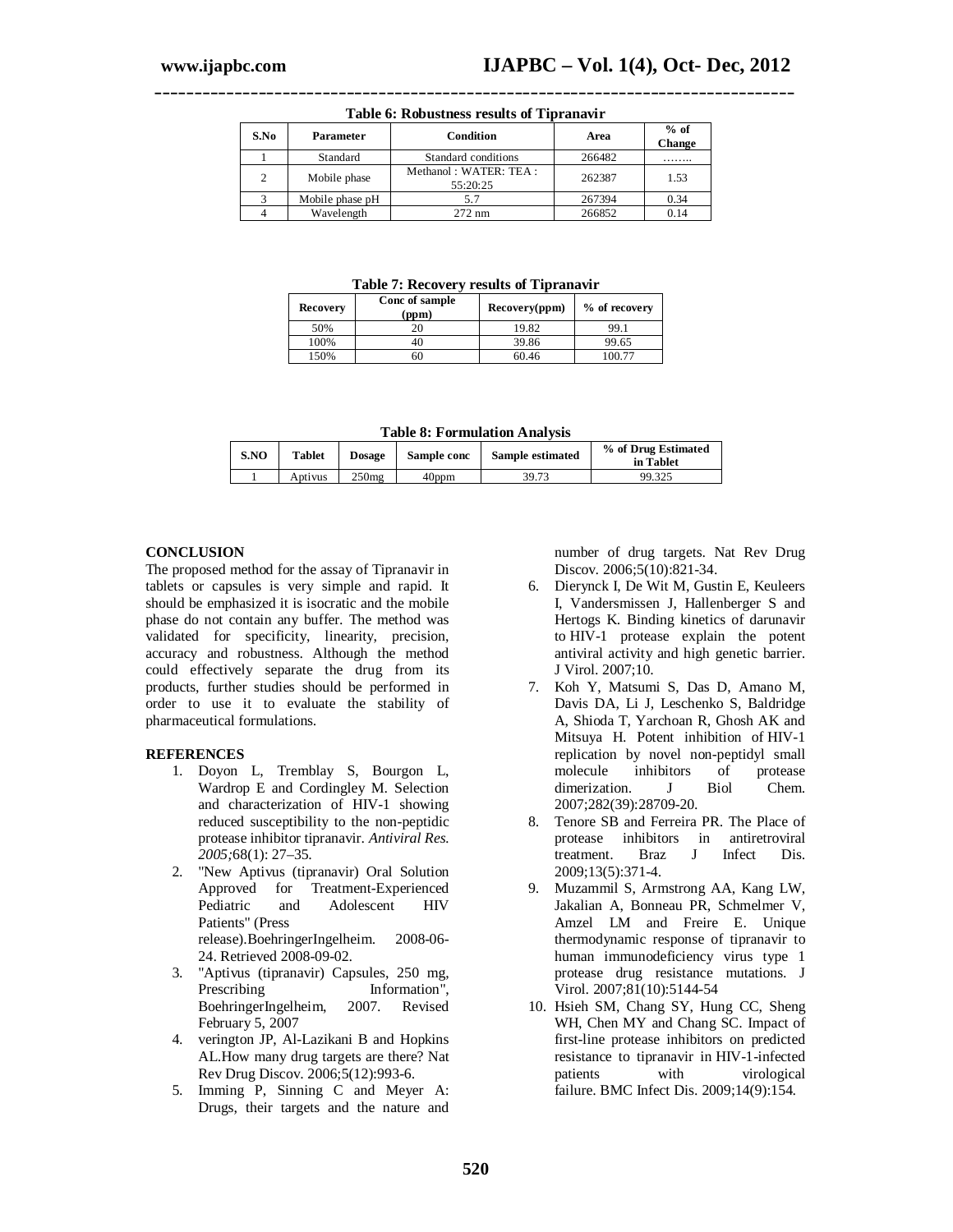| THING OF THOM WARDLEY I CAMELY OF THIS WILL BE |                        |                                   |        |                  |  |  |
|------------------------------------------------|------------------------|-----------------------------------|--------|------------------|--|--|
| S.No                                           | Condition<br>Parameter |                                   | Area   | $%$ of<br>Change |  |  |
|                                                | Standard               | Standard conditions               | 266482 | .                |  |  |
|                                                | Mobile phase           | Methanol: WATER: TEA:<br>55:20:25 | 262387 | 1.53             |  |  |
|                                                | Mobile phase pH        | 5.7                               | 267394 | 0.34             |  |  |
|                                                | Wavelength             | $272 \text{ nm}$                  | 266852 | 0.14             |  |  |

**\_\_\_\_\_\_\_\_\_\_\_\_\_\_\_\_\_\_\_\_\_\_\_\_\_\_\_\_\_\_\_\_\_\_\_\_\_\_\_\_\_\_\_\_\_\_\_\_\_\_\_\_\_\_\_\_\_\_\_\_\_\_\_\_\_\_\_\_\_\_\_\_\_\_\_\_\_\_\_\_ Table 6: Robustness results of Tipranavir**

**Table 7: Recovery results of Tipranavir**

| Recovery | Conc of sample<br>(ppm) | Recovery(ppm) | % of recovery |
|----------|-------------------------|---------------|---------------|
| 50%      |                         | 19.82         | 99.1          |
| 100%     |                         | 39.86         | 99.65         |
| 150%     |                         | 60.46         | 100 77        |

**Table 8: Formulation Analysis**

| S.NO | <b>Tablet</b> | <b>Dosage</b>     | Sample conc | Sample estimated | % of Drug Estimated<br>in Tablet |
|------|---------------|-------------------|-------------|------------------|----------------------------------|
|      | Aptivus       | 250 <sub>mg</sub> | 40ppm       | 39.73            | 99.325                           |

### **CONCLUSION**

The proposed method for the assay of Tipranavir in tablets or capsules is very simple and rapid. It should be emphasized it is isocratic and the mobile phase do not contain any buffer. The method was validated for specificity, linearity, precision, accuracy and robustness. Although the method could effectively separate the drug from its products, further studies should be performed in order to use it to evaluate the stability of pharmaceutical formulations.

### **REFERENCES**

- 1. Doyon L, Tremblay S, Bourgon L, Wardrop E and Cordingley M. Selection and characterization of HIV-1 showing reduced susceptibility to the non-peptidic protease inhibitor tipranavir. *Antiviral Res. 2005;*68(1): 27–35.
- 2. "New Aptivus (tipranavir) Oral Solution<br>Approved for Treatment-Experienced Treatment-Experienced Pediatric and Adolescent HIV Patients" (Press release).BoehringerIngelheim. 2008-06- 24. Retrieved 2008-09-02.
- 3. "Aptivus (tipranavir) Capsules, 250 mg, Prescribing Information", BoehringerIngelheim, 2007. Revised February 5, 2007
- 4. verington JP, Al-Lazikani B and Hopkins AL.How many drug targets are there? Nat Rev Drug Discov. 2006;5(12):993-6.
- 5. Imming P, Sinning C and Meyer A: Drugs, their targets and the nature and

number of drug targets. Nat Rev Drug Discov. 2006;5(10):821-34.

- 6. Dierynck I, De Wit M, Gustin E, Keuleers I, Vandersmissen J, Hallenberger S and Hertogs K. Binding kinetics of darunavir to HIV-1 protease explain the potent antiviral activity and high genetic barrier. J Virol. 2007;10.
- 7. Koh Y, Matsumi S, Das D, Amano M, Davis DA, Li J, Leschenko S, Baldridge A, Shioda T, Yarchoan R, Ghosh AK and Mitsuya H. Potent inhibition of HIV-1 replication by novel non-peptidyl small molecule inhibitors of protease<br>dimerization. J Biol Chem. dimerization. J Biol Chem. 2007;282(39):28709-20.
- 8. Tenore SB and Ferreira PR. The Place of protease inhibitors in antiretroviral<br>treatment. Braz J Infect Dis. treatment. Braz J Infect Dis. 2009;13(5):371-4.
- 9. Muzammil S, Armstrong AA, Kang LW, Jakalian A, Bonneau PR, Schmelmer V, Amzel LM and Freire E. Unique thermodynamic response of tipranavir to human immunodeficiency virus type 1 protease drug resistance mutations. J Virol. 2007;81(10):5144-54
- 10. Hsieh SM, Chang SY, Hung CC, Sheng WH, Chen MY and Chang SC. Impact of first-line protease inhibitors on predicted resistance to tipranavir in HIV-1-infected<br>nations with virological patients with virological failure. BMC Infect Dis. 2009;14(9):154.